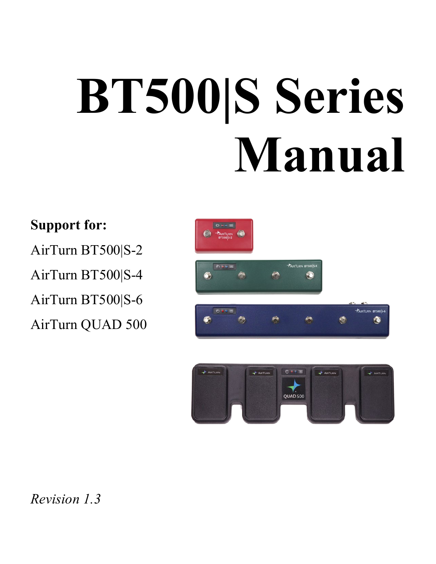# **BT500|S Series Manual**

#### **Support for:**

AirTurn BT500|S-2 AirTurn BT500|S-4

AirTurn BT500|S-6

AirTurn QUAD 500





*Revision 1.3*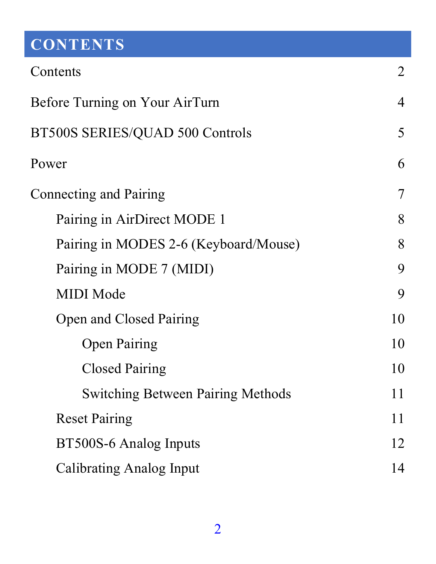# <span id="page-1-0"></span>**CONTENTS**

| Contents                                 | 2  |  |  |  |
|------------------------------------------|----|--|--|--|
| Before Turning on Your AirTurn           |    |  |  |  |
| BT500S SERIES/QUAD 500 Controls          |    |  |  |  |
| Power                                    | 6  |  |  |  |
| Connecting and Pairing                   | 7  |  |  |  |
| Pairing in AirDirect MODE 1              | 8  |  |  |  |
| Pairing in MODES 2-6 (Keyboard/Mouse)    | 8  |  |  |  |
| Pairing in MODE 7 (MIDI)                 | 9  |  |  |  |
| <b>MIDI</b> Mode                         | 9  |  |  |  |
| Open and Closed Pairing                  | 10 |  |  |  |
| <b>Open Pairing</b>                      | 10 |  |  |  |
| <b>Closed Pairing</b>                    | 10 |  |  |  |
| <b>Switching Between Pairing Methods</b> | 11 |  |  |  |
| <b>Reset Pairing</b>                     | 11 |  |  |  |
| BT500S-6 Analog Inputs                   |    |  |  |  |
| Calibrating Analog Input                 |    |  |  |  |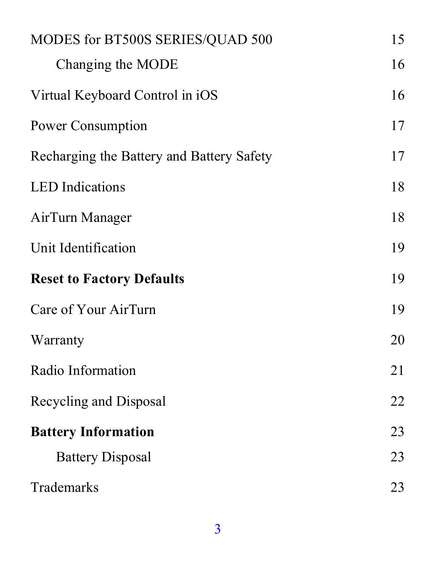| MODES for BT500S SERIES/QUAD 500          | 15 |  |
|-------------------------------------------|----|--|
| Changing the MODE                         | 16 |  |
| Virtual Keyboard Control in iOS           | 16 |  |
| Power Consumption                         | 17 |  |
| Recharging the Battery and Battery Safety | 17 |  |
| <b>LED</b> Indications                    | 18 |  |
| AirTurn Manager                           | 18 |  |
| Unit Identification                       | 19 |  |
| <b>Reset to Factory Defaults</b>          | 19 |  |
| Care of Your AirTurn                      | 19 |  |
| Warranty                                  | 20 |  |
| Radio Information                         | 21 |  |
| Recycling and Disposal                    | 22 |  |
| <b>Battery Information</b>                |    |  |
| <b>Battery Disposal</b>                   | 23 |  |
| Trademarks                                | 23 |  |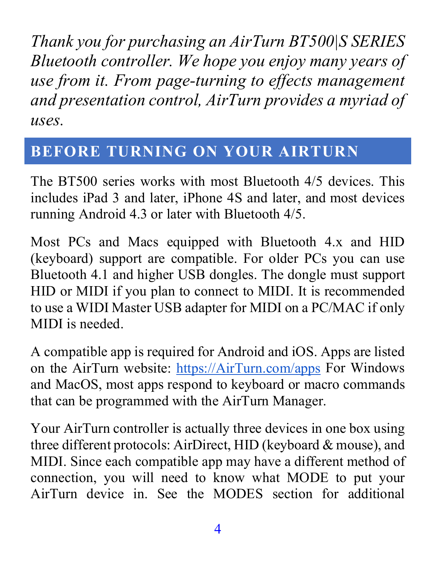*Thank you for purchasing an AirTurn BT500|S SERIES Bluetooth controller. We hope you enjoy many years of use from it. From page-turning to effects management and presentation control, AirTurn provides a myriad of uses.*

#### <span id="page-3-0"></span>**BEFORE TURNING ON YOUR AIRTURN**

The BT500 series works with most Bluetooth 4/5 devices. This includes iPad 3 and later, iPhone 4S and later, and most devices running Android 4.3 or later with Bluetooth 4/5.

Most PCs and Macs equipped with Bluetooth 4.x and HID (keyboard) support are compatible. For older PCs you can use Bluetooth 4.1 and higher USB dongles. The dongle must support HID or MIDI if you plan to connect to MIDI. It is recommended to use a WIDI Master USB adapter for MIDI on a PC/MAC if only MIDI is needed.

A compatible app is required for Android and iOS. Apps are listed on the AirTurn website: [https://AirTurn.com/apps](https://airturn.com/apps) For Windows and MacOS, most apps respond to keyboard or macro commands that can be programmed with the AirTurn Manager.

Your AirTurn controller is actually three devices in one box using three different protocols: AirDirect, HID (keyboard & mouse), and MIDI. Since each compatible app may have a different method of connection, you will need to know what MODE to put your AirTurn device in. See the MODES section for additional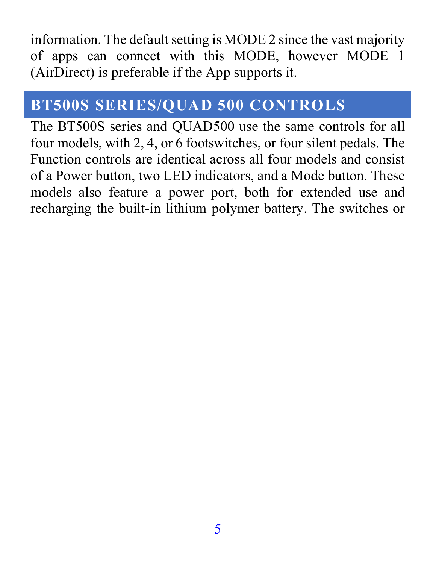information. The default setting is MODE 2 since the vast majority of apps can connect with this MODE, however MODE 1 (AirDirect) is preferable if the App supports it.

#### <span id="page-4-0"></span>**BT500S SERIES/QUAD 500 CONTROLS**

The BT500S series and QUAD500 use the same controls for all four models, with 2, 4, or 6 footswitches, or four silent pedals. The Function controls are identical across all four models and consist of a Power button, two LED indicators, and a Mode button. These models also feature a power port, both for extended use and recharging the built-in lithium polymer battery. The switches or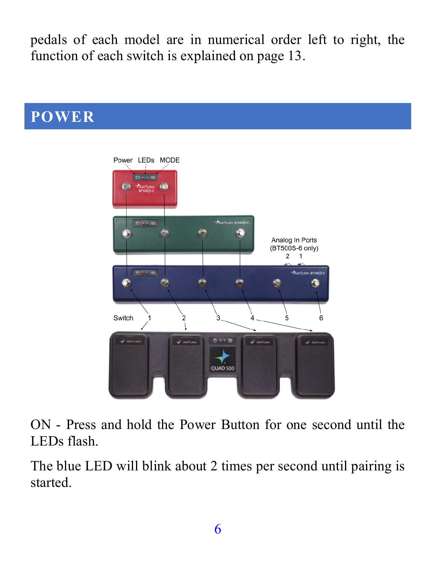pedals of each model are in numerical order left to right, the function of each switch is explained on page 13.

<span id="page-5-0"></span>

ON - Press and hold the Power Button for one second until the LEDs flash.

The blue LED will blink about 2 times per second until pairing is started.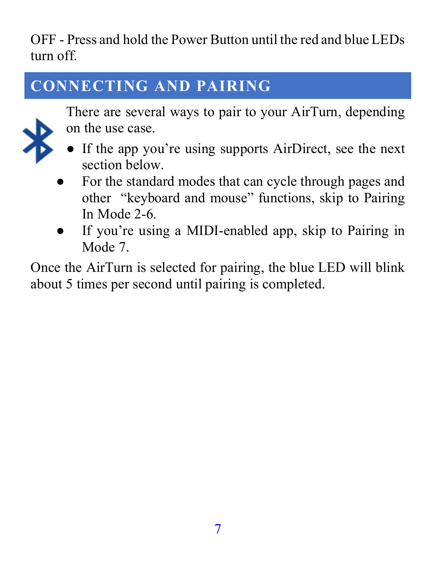OFF - Press and hold the Power Button until the red and blue LEDs turn off.

# <span id="page-6-0"></span>**CONNECTING AND PAIRING**



There are several ways to pair to your AirTurn, depending on the use case.

- If the app you're using supports AirDirect, see the next section below.
- For the standard modes that can cycle through pages and other "keyboard and mouse" functions, skip to Pairing In Mode 2-6.
- If you're using a MIDI-enabled app, skip to Pairing in Mode 7.

Once the AirTurn is selected for pairing, the blue LED will blink about 5 times per second until pairing is completed.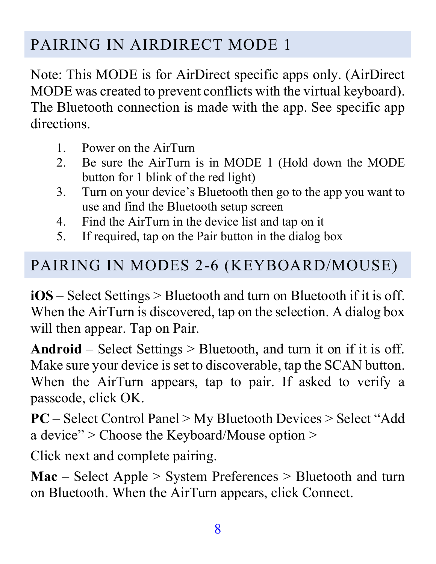#### <span id="page-7-0"></span>PAIRING IN AIRDIRECT MODE 1

Note: This MODE is for AirDirect specific apps only. (AirDirect MODE was created to prevent conflicts with the virtual keyboard). The Bluetooth connection is made with the app. See specific app directions.

- 1. Power on the AirTurn
- 2. Be sure the AirTurn is in MODE 1 (Hold down the MODE button for 1 blink of the red light)
- 3. Turn on your device's Bluetooth then go to the app you want to use and find the Bluetooth setup screen
- 4. Find the AirTurn in the device list and tap on it
- 5. If required, tap on the Pair button in the dialog box

#### <span id="page-7-1"></span>PAIRING IN MODES 2-6 (KEYBOARD/MOUSE)

**iOS** – Select Settings > Bluetooth and turn on Bluetooth if it is off. When the AirTurn is discovered, tap on the selection. A dialog box will then appear. Tap on Pair.

**Android** – Select Settings > Bluetooth, and turn it on if it is off. Make sure your device is set to discoverable, tap the SCAN button. When the AirTurn appears, tap to pair. If asked to verify a passcode, click OK.

**PC** – Select Control Panel > My Bluetooth Devices > Select "Add a device" > Choose the Keyboard/Mouse option >

Click next and complete pairing.

**Mac** – Select Apple > System Preferences > Bluetooth and turn on Bluetooth. When the AirTurn appears, click Connect.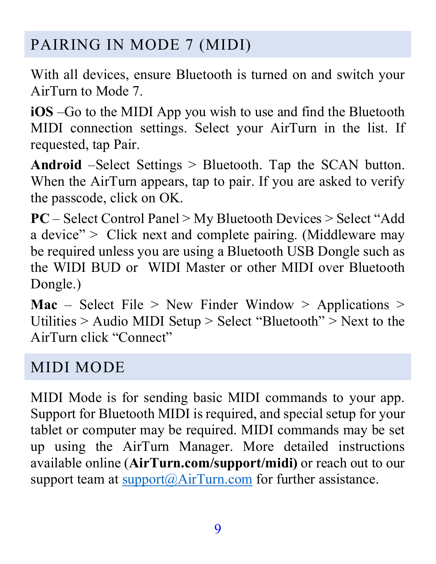#### <span id="page-8-0"></span>PAIRING IN MODE 7 (MIDI)

With all devices, ensure Bluetooth is turned on and switch your AirTurn to Mode 7.

**iOS** –Go to the MIDI App you wish to use and find the Bluetooth MIDI connection settings. Select your AirTurn in the list. If requested, tap Pair.

**Android** –Select Settings > Bluetooth. Tap the SCAN button. When the AirTurn appears, tap to pair. If you are asked to verify the passcode, click on OK.

**PC** – Select Control Panel > My Bluetooth Devices > Select "Add a device" > Click next and complete pairing. (Middleware may be required unless you are using a Bluetooth USB Dongle such as the WIDI BUD or WIDI Master or other MIDI over Bluetooth Dongle.)

**Mac** – Select File  $>$  New Finder Window  $>$  Applications  $>$ Utilities > Audio MIDI Setup > Select "Bluetooth" > Next to the AirTurn click "Connect"

#### <span id="page-8-1"></span>MIDI MODE

MIDI Mode is for sending basic MIDI commands to your app. Support for Bluetooth MIDI is required, and special setup for your tablet or computer may be required. MIDI commands may be set up using the AirTurn Manager. More detailed instructions available online (**AirTurn.com/support/midi)** or reach out to our support team at  $\text{support}(\partial A \text{irTurn.com})$  for further assistance.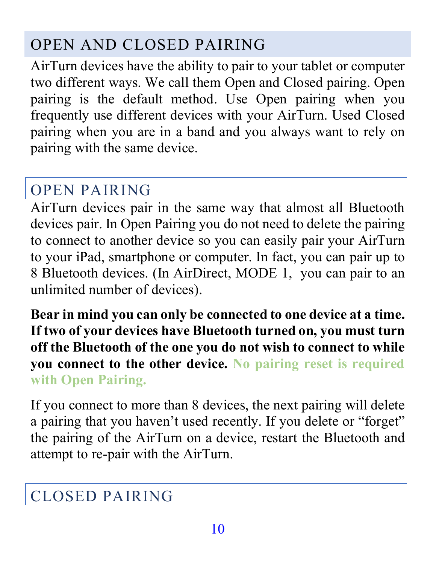#### <span id="page-9-0"></span>OPEN AND CLOSED PAIRING

AirTurn devices have the ability to pair to your tablet or computer two different ways. We call them Open and Closed pairing. Open pairing is the default method. Use Open pairing when you frequently use different devices with your AirTurn. Used Closed pairing when you are in a band and you always want to rely on pairing with the same device.

#### <span id="page-9-1"></span>OPEN PAIRING

AirTurn devices pair in the same way that almost all Bluetooth devices pair. In Open Pairing you do not need to delete the pairing to connect to another device so you can easily pair your AirTurn to your iPad, smartphone or computer. In fact, you can pair up to 8 Bluetooth devices. (In AirDirect, MODE 1, you can pair to an unlimited number of devices).

**Bear in mind you can only be connected to one device at a time. If two of your devices have Bluetooth turned on, you must turn off the Bluetooth of the one you do not wish to connect to while you connect to the other device. No pairing reset is required with Open Pairing.**

If you connect to more than 8 devices, the next pairing will delete a pairing that you haven't used recently. If you delete or "forget" the pairing of the AirTurn on a device, restart the Bluetooth and attempt to re-pair with the AirTurn.

#### <span id="page-9-2"></span>CLOSED PAIRING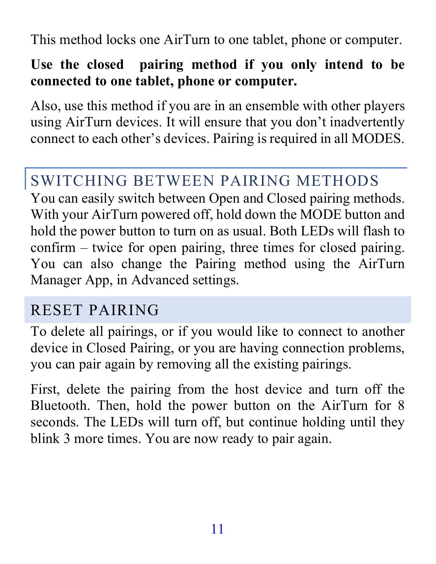This method locks one AirTurn to one tablet, phone or computer.

#### **Use the closed pairing method if you only intend to be connected to one tablet, phone or computer.**

Also, use this method if you are in an ensemble with other players using AirTurn devices. It will ensure that you don't inadvertently connect to each other's devices. Pairing is required in all MODES.

#### <span id="page-10-0"></span>SWITCHING BETWEEN PAIRING METHODS

You can easily switch between Open and Closed pairing methods. With your AirTurn powered off, hold down the MODE button and hold the power button to turn on as usual. Both LEDs will flash to confirm – twice for open pairing, three times for closed pairing. You can also change the Pairing method using the AirTurn Manager App, in Advanced settings.

#### <span id="page-10-1"></span>RESET PAIRING

To delete all pairings, or if you would like to connect to another device in Closed Pairing, or you are having connection problems, you can pair again by removing all the existing pairings.

First, delete the pairing from the host device and turn off the Bluetooth. Then, hold the power button on the AirTurn for 8 seconds. The LEDs will turn off, but continue holding until they blink 3 more times. You are now ready to pair again.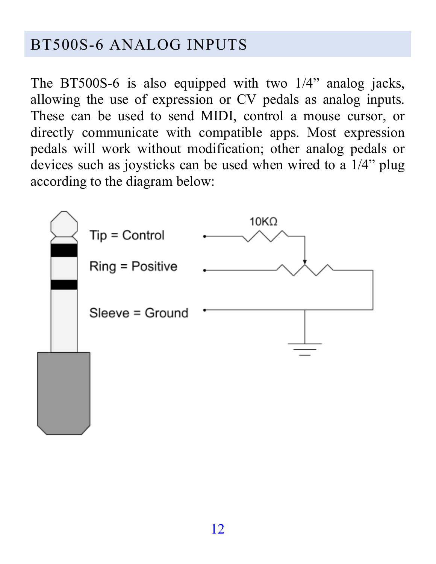#### <span id="page-11-0"></span>BT500S-6 ANALOG INPUTS

The BT500S-6 is also equipped with two 1/4" analog jacks, allowing the use of expression or CV pedals as analog inputs. These can be used to send MIDI, control a mouse cursor, or directly communicate with compatible apps. Most expression pedals will work without modification; other analog pedals or devices such as joysticks can be used when wired to a 1/4" plug according to the diagram below:

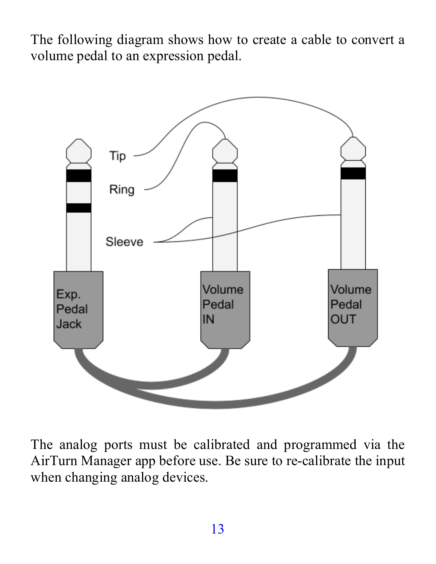The following diagram shows how to create a cable to convert a volume pedal to an expression pedal.



The analog ports must be calibrated and programmed via the AirTurn Manager app before use. Be sure to re-calibrate the input when changing analog devices.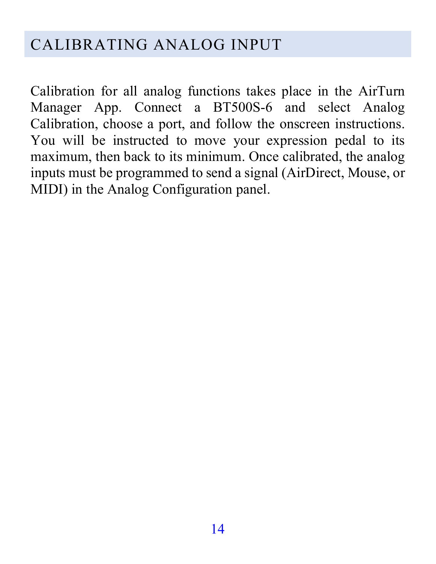#### <span id="page-13-0"></span>CALIBRATING ANALOG INPUT

Calibration for all analog functions takes place in the AirTurn Manager App. Connect a BT500S-6 and select Analog Calibration, choose a port, and follow the onscreen instructions. You will be instructed to move your expression pedal to its maximum, then back to its minimum. Once calibrated, the analog inputs must be programmed to send a signal (AirDirect, Mouse, or MIDI) in the Analog Configuration panel.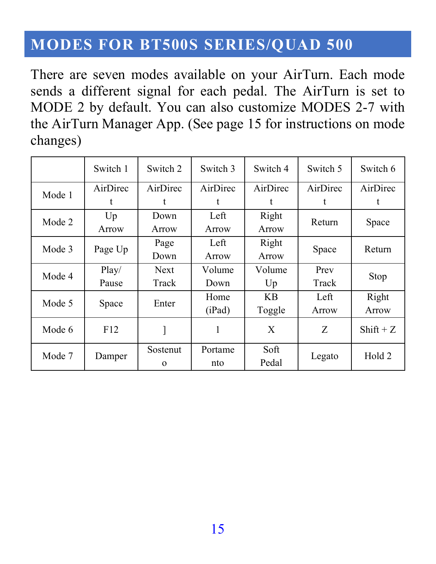#### <span id="page-14-0"></span>**MODES FOR BT500S SERIES/QUAD 500**

There are seven modes available on your AirTurn. Each mode sends a different signal for each pedal. The AirTurn is set to MODE 2 by default. You can also customize MODES 2-7 with the AirTurn Manager App. (See page 15 for instructions on mode changes)

|        | Switch 1 | Switch 2             | Switch 3       | Switch 4      | Switch 5 | Switch 6    |       |
|--------|----------|----------------------|----------------|---------------|----------|-------------|-------|
| Mode 1 | AirDirec | AirDirec             | AirDirec       | AirDirec      | AirDirec | AirDirec    |       |
|        |          |                      |                | t             | t        |             |       |
| Mode 2 | Up       | Down                 | Left           | Right         | Return   |             |       |
|        | Arrow    | Arrow                | Arrow          | Arrow         |          | Space       |       |
| Mode 3 | Page Up  | Page                 | Left           | Right         |          | Return      |       |
|        |          | Down                 | Arrow          | Arrow         | Space    |             |       |
| Mode 4 | Play/    | <b>Next</b>          | Volume         | Volume        | Prev     |             |       |
|        | Pause    | Track                | Down           | Up            | Track    | Stop        |       |
| Mode 5 | Space    |                      | Enter          | Home          | KВ       | Left        | Right |
|        |          |                      | (iPad)         | Toggle        | Arrow    | Arrow       |       |
| Mode 6 | F12      |                      |                | X             | Z        | $Shift + Z$ |       |
| Mode 7 | Damper   | Sostenut<br>$\Omega$ | Portame<br>nto | Soft<br>Pedal | Legato   | Hold 2      |       |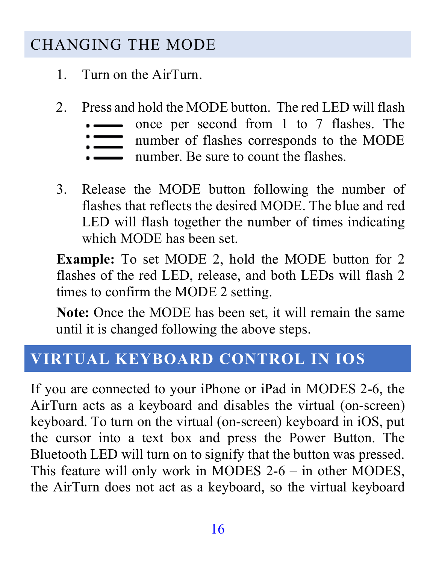#### <span id="page-15-0"></span>CHANGING THE MODE

- 1. Turn on the AirTurn.
- 2. Press and hold the MODE button. The red LED will flash
	- once per second from 1 to 7 flashes. The
	- number of flashes corresponds to the MODE  $\equiv$
	- number. Be sure to count the flashes.
- 3. Release the MODE button following the number of flashes that reflects the desired MODE. The blue and red LED will flash together the number of times indicating which MODE has been set.

**Example:** To set MODE 2, hold the MODE button for 2 flashes of the red LED, release, and both LEDs will flash 2 times to confirm the MODE 2 setting.

**Note:** Once the MODE has been set, it will remain the same until it is changed following the above steps.

#### <span id="page-15-1"></span>**VIRTUAL KEYBOARD CONTROL IN IOS**

If you are connected to your iPhone or iPad in MODES 2-6, the AirTurn acts as a keyboard and disables the virtual (on-screen) keyboard. To turn on the virtual (on-screen) keyboard in iOS, put the cursor into a text box and press the Power Button. The Bluetooth LED will turn on to signify that the button was pressed. This feature will only work in MODES 2-6 – in other MODES, the AirTurn does not act as a keyboard, so the virtual keyboard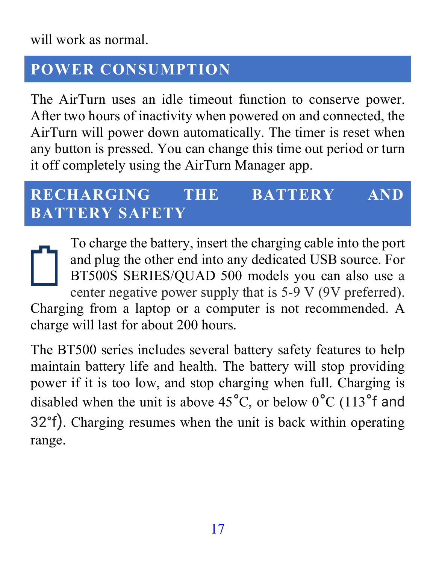will work as normal.

#### <span id="page-16-0"></span>**POWER CONSUMPTION**

The AirTurn uses an idle timeout function to conserve power. After two hours of inactivity when powered on and connected, the AirTurn will power down automatically. The timer is reset when any button is pressed. You can change this time out period or turn it off completely using the AirTurn Manager app.

#### <span id="page-16-1"></span>**RECHARGING THE BATTERY AND BATTERY SAFETY**

To charge the battery, insert the charging cable into the port and plug the other end into any dedicated USB source. For BT500S SERIES/QUAD 500 models you can also use a center negative power supply that is 5-9 V (9V preferred). Charging from a laptop or a computer is not recommended. A charge will last for about 200 hours.

The BT500 series includes several battery safety features to help maintain battery life and health. The battery will stop providing power if it is too low, and stop charging when full. Charging is disabled when the unit is above  $45^{\circ}$ C, or below  $0^{\circ}$ C (113<sup>°</sup>f and 32°f). Charging resumes when the unit is back within operating range.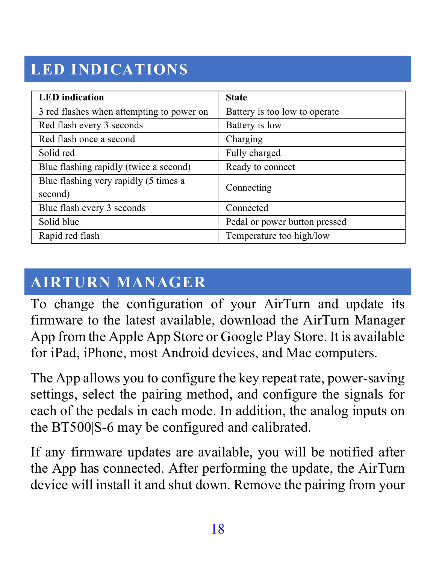## <span id="page-17-0"></span>**LED INDICATIONS**

| <b>LED</b> indication                            | <b>State</b>                  |
|--------------------------------------------------|-------------------------------|
| 3 red flashes when attempting to power on        | Battery is too low to operate |
| Red flash every 3 seconds                        | Battery is low                |
| Red flash once a second                          | Charging                      |
| Solid red                                        | Fully charged                 |
| Blue flashing rapidly (twice a second)           | Ready to connect              |
| Blue flashing very rapidly (5 times a<br>second) | Connecting                    |
| Blue flash every 3 seconds                       | Connected                     |
| Solid blue                                       | Pedal or power button pressed |
| Rapid red flash                                  | Temperature too high/low      |

### <span id="page-17-1"></span>**AIRTURN MANAGER**

To change the configuration of your AirTurn and update its firmware to the latest available, download the AirTurn Manager App from the Apple App Store or Google Play Store. It is available for iPad, iPhone, most Android devices, and Mac computers.

The App allows you to configure the key repeat rate, power-saving settings, select the pairing method, and configure the signals for each of the pedals in each mode. In addition, the analog inputs on the BT500|S-6 may be configured and calibrated.

If any firmware updates are available, you will be notified after the App has connected. After performing the update, the AirTurn device will install it and shut down. Remove the pairing from your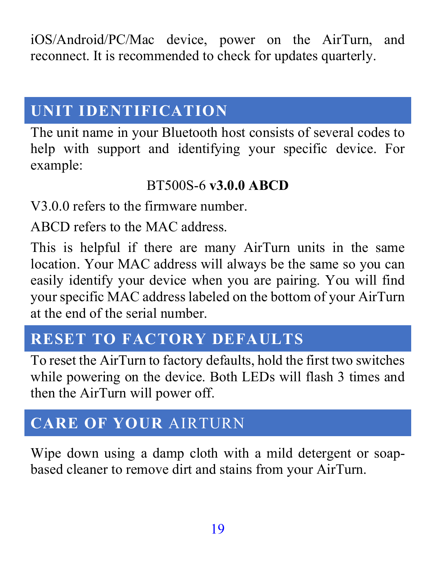iOS/Android/PC/Mac device, power on the AirTurn, and reconnect. It is recommended to check for updates quarterly.

#### <span id="page-18-0"></span>**UNIT IDENTIFICATION**

The unit name in your Bluetooth host consists of several codes to help with support and identifying your specific device. For example:

#### BT500S-6 **v3.0.0 ABCD**

V3.0.0 refers to the firmware number.

ABCD refers to the MAC address.

This is helpful if there are many AirTurn units in the same location. Your MAC address will always be the same so you can easily identify your device when you are pairing. You will find your specific MAC address labeled on the bottom of your AirTurn at the end of the serial number.

#### <span id="page-18-1"></span>**RESET TO FACTORY DEFAULTS**

To reset the AirTurn to factory defaults, hold the first two switches while powering on the device. Both LEDs will flash 3 times and then the AirTurn will power off.

#### <span id="page-18-2"></span>**CARE OF YOUR** AIRTURN

Wipe down using a damp cloth with a mild detergent or soapbased cleaner to remove dirt and stains from your AirTurn.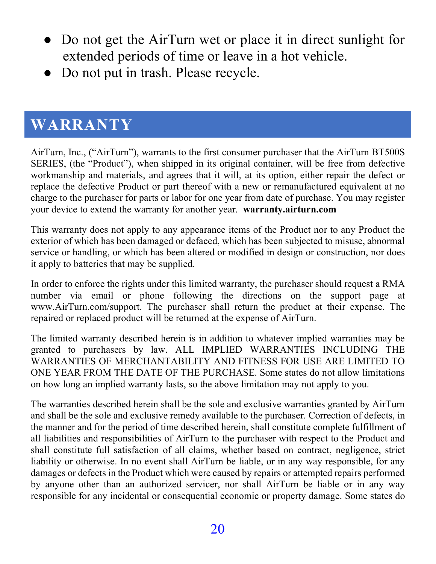- Do not get the AirTurn wet or place it in direct sunlight for extended periods of time or leave in a hot vehicle.
- Do not put in trash. Please recycle.

#### <span id="page-19-0"></span>**WARRANTY**

AirTurn, Inc., ("AirTurn"), warrants to the first consumer purchaser that the AirTurn BT500S SERIES, (the "Product"), when shipped in its original container, will be free from defective workmanship and materials, and agrees that it will, at its option, either repair the defect or replace the defective Product or part thereof with a new or remanufactured equivalent at no charge to the purchaser for parts or labor for one year from date of purchase. You may register your device to extend the warranty for another year. **warranty.airturn.com** 

This warranty does not apply to any appearance items of the Product nor to any Product the exterior of which has been damaged or defaced, which has been subjected to misuse, abnormal service or handling, or which has been altered or modified in design or construction, nor does it apply to batteries that may be supplied.

In order to enforce the rights under this limited warranty, the purchaser should request a RMA number via email or phone following the directions on the support page at www.AirTurn.com/support. The purchaser shall return the product at their expense. The repaired or replaced product will be returned at the expense of AirTurn.

The limited warranty described herein is in addition to whatever implied warranties may be granted to purchasers by law. ALL IMPLIED WARRANTIES INCLUDING THE WARRANTIES OF MERCHANTABILITY AND FITNESS FOR USE ARE LIMITED TO ONE YEAR FROM THE DATE OF THE PURCHASE. Some states do not allow limitations on how long an implied warranty lasts, so the above limitation may not apply to you.

The warranties described herein shall be the sole and exclusive warranties granted by AirTurn and shall be the sole and exclusive remedy available to the purchaser. Correction of defects, in the manner and for the period of time described herein, shall constitute complete fulfillment of all liabilities and responsibilities of AirTurn to the purchaser with respect to the Product and shall constitute full satisfaction of all claims, whether based on contract, negligence, strict liability or otherwise. In no event shall AirTurn be liable, or in any way responsible, for any damages or defects in the Product which were caused by repairs or attempted repairs performed by anyone other than an authorized servicer, nor shall AirTurn be liable or in any way responsible for any incidental or consequential economic or property damage. Some states do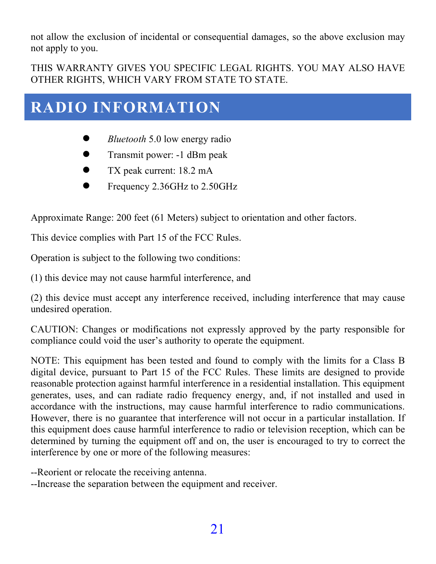not allow the exclusion of incidental or consequential damages, so the above exclusion may not apply to you.

THIS WARRANTY GIVES YOU SPECIFIC LEGAL RIGHTS. YOU MAY ALSO HAVE OTHER RIGHTS, WHICH VARY FROM STATE TO STATE.

#### <span id="page-20-0"></span>**RADIO INFORMATION**

- *Bluetooth* 5.0 low energy radio
- Transmit power: -1 dBm peak
- TX peak current: 18.2 mA
- Frequency 2.36GHz to 2.50GHz

Approximate Range: 200 feet (61 Meters) subject to orientation and other factors.

This device complies with Part 15 of the FCC Rules.

Operation is subject to the following two conditions:

(1) this device may not cause harmful interference, and

(2) this device must accept any interference received, including interference that may cause undesired operation.

CAUTION: Changes or modifications not expressly approved by the party responsible for compliance could void the user's authority to operate the equipment.

NOTE: This equipment has been tested and found to comply with the limits for a Class B digital device, pursuant to Part 15 of the FCC Rules. These limits are designed to provide reasonable protection against harmful interference in a residential installation. This equipment generates, uses, and can radiate radio frequency energy, and, if not installed and used in accordance with the instructions, may cause harmful interference to radio communications. However, there is no guarantee that interference will not occur in a particular installation. If this equipment does cause harmful interference to radio or television reception, which can be determined by turning the equipment off and on, the user is encouraged to try to correct the interference by one or more of the following measures:

--Reorient or relocate the receiving antenna.

--Increase the separation between the equipment and receiver.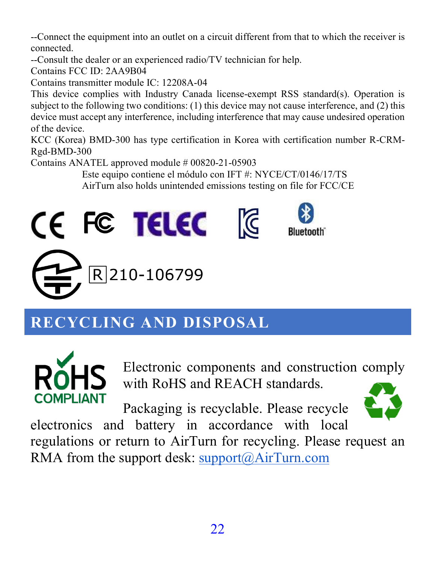--Connect the equipment into an outlet on a circuit different from that to which the receiver is connected.

--Consult the dealer or an experienced radio/TV technician for help.

Contains FCC ID: 2AA9B04

Contains transmitter module IC: 12208A-04

This device complies with Industry Canada license-exempt RSS standard(s). Operation is subject to the following two conditions: (1) this device may not cause interference, and (2) this device must accept any interference, including interference that may cause undesired operation of the device.

KCC (Korea) BMD-300 has type certification in Korea with certification number R-CRM-Rgd-BMD-300

Contains ANATEL approved module # 00820-21-05903

Este equipo contiene el módulo con IFT #: NYCE/CT/0146/17/TS AirTurn also holds unintended emissions testing on file for FCC/CE



# <span id="page-21-0"></span>**RECYCLING AND DISPOSAL**



Electronic components and construction comply with RoHS and REACH standards.

Packaging is recyclable. Please recycle



electronics and battery in accordance with local regulations or return to AirTurn for recycling. Please request an RMA from the support desk[: support@AirTurn.com](mailto:support@airturn.com)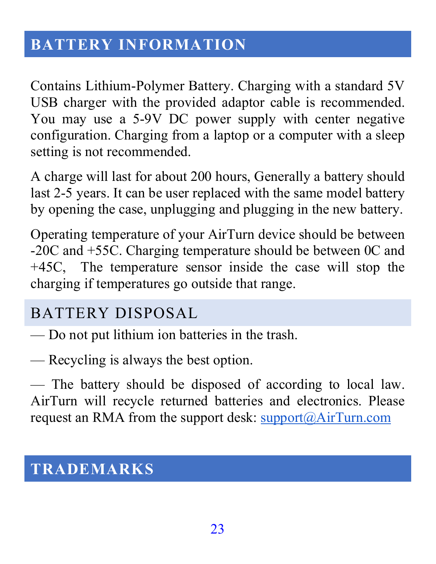#### <span id="page-22-0"></span>**BATTERY INFORMATION**

Contains Lithium-Polymer Battery. Charging with a standard 5V USB charger with the provided adaptor cable is recommended. You may use a 5-9V DC power supply with center negative configuration. Charging from a laptop or a computer with a sleep setting is not recommended.

A charge will last for about 200 hours, Generally a battery should last 2-5 years. It can be user replaced with the same model battery by opening the case, unplugging and plugging in the new battery.

Operating temperature of your AirTurn device should be between -20C and +55C. Charging temperature should be between 0C and +45C, The temperature sensor inside the case will stop the charging if temperatures go outside that range.

#### <span id="page-22-1"></span>BATTERY DISPOSAL

— Do not put lithium ion batteries in the trash.

— Recycling is always the best option.

— The battery should be disposed of according to local law. AirTurn will recycle returned batteries and electronics. Please request an RMA from the support desk: [support@AirTurn.com](mailto:support@airturn.com)

#### <span id="page-22-2"></span>**TRADEMARKS**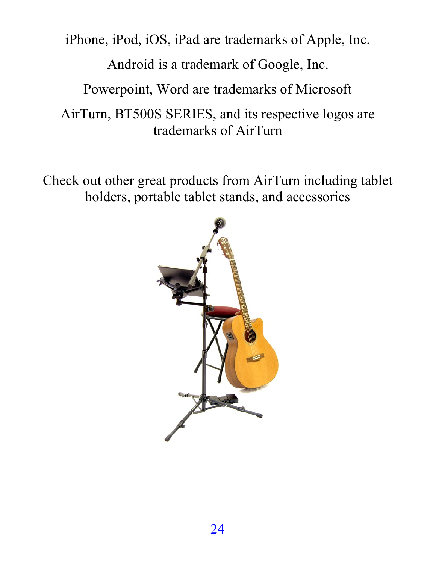iPhone, iPod, iOS, iPad are trademarks of Apple, Inc.

Android is a trademark of Google, Inc.

Powerpoint, Word are trademarks of Microsoft

AirTurn, BT500S SERIES, and its respective logos are trademarks of AirTurn

Check out other great products from AirTurn including tablet holders, portable tablet stands, and accessories